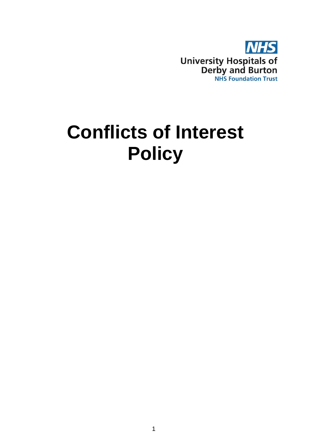

# **Conflicts of Interest Policy**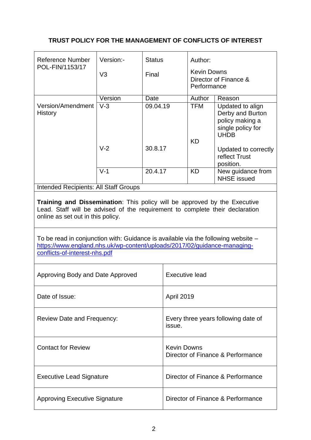# **TRUST POLICY FOR THE MANAGEMENT OF CONFLICTS OF INTEREST**

| Reference Number                                                                                                                                                                                                                                                                                                                                                                                 | Version:-      | <b>Status</b> |                                                         | Author:                                                    |                                                                                             |  |  |
|--------------------------------------------------------------------------------------------------------------------------------------------------------------------------------------------------------------------------------------------------------------------------------------------------------------------------------------------------------------------------------------------------|----------------|---------------|---------------------------------------------------------|------------------------------------------------------------|---------------------------------------------------------------------------------------------|--|--|
| POL-FIN/1153/17                                                                                                                                                                                                                                                                                                                                                                                  | V <sub>3</sub> | Final         |                                                         | <b>Kevin Downs</b><br>Director of Finance &<br>Performance |                                                                                             |  |  |
|                                                                                                                                                                                                                                                                                                                                                                                                  | Version        | Date          |                                                         | Author                                                     | Reason                                                                                      |  |  |
| Version/Amendment<br>History                                                                                                                                                                                                                                                                                                                                                                     | $V-3$          | 09.04.19      |                                                         | <b>TFM</b>                                                 | Updated to align<br>Derby and Burton<br>policy making a<br>single policy for<br><b>UHDB</b> |  |  |
|                                                                                                                                                                                                                                                                                                                                                                                                  | $V-2$          | 30.8.17       |                                                         | <b>KD</b>                                                  | Updated to correctly<br>reflect Trust<br>position.                                          |  |  |
|                                                                                                                                                                                                                                                                                                                                                                                                  | $V-1$          | 20.4.17       |                                                         | <b>KD</b>                                                  | New guidance from<br><b>NHSE</b> issued                                                     |  |  |
| <b>Intended Recipients: All Staff Groups</b>                                                                                                                                                                                                                                                                                                                                                     |                |               |                                                         |                                                            |                                                                                             |  |  |
| Training and Dissemination: This policy will be approved by the Executive<br>Lead. Staff will be advised of the requirement to complete their declaration<br>online as set out in this policy.<br>To be read in conjunction with: Guidance is available via the following website –<br>https://www.england.nhs.uk/wp-content/uploads/2017/02/guidance-managing-<br>conflicts-of-interest-nhs.pdf |                |               |                                                         |                                                            |                                                                                             |  |  |
| Approving Body and Date Approved                                                                                                                                                                                                                                                                                                                                                                 |                |               | Executive lead                                          |                                                            |                                                                                             |  |  |
| Date of Issue:                                                                                                                                                                                                                                                                                                                                                                                   |                |               | April 2019                                              |                                                            |                                                                                             |  |  |
| <b>Review Date and Frequency:</b>                                                                                                                                                                                                                                                                                                                                                                |                |               | Every three years following date of<br>issue.           |                                                            |                                                                                             |  |  |
| <b>Contact for Review</b>                                                                                                                                                                                                                                                                                                                                                                        |                |               | <b>Kevin Downs</b><br>Director of Finance & Performance |                                                            |                                                                                             |  |  |
| <b>Executive Lead Signature</b>                                                                                                                                                                                                                                                                                                                                                                  |                |               | Director of Finance & Performance                       |                                                            |                                                                                             |  |  |
| <b>Approving Executive Signature</b>                                                                                                                                                                                                                                                                                                                                                             |                |               | Director of Finance & Performance                       |                                                            |                                                                                             |  |  |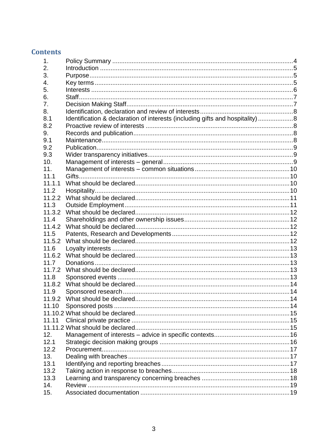# **Contents**

| 1.     |                                                                               |  |
|--------|-------------------------------------------------------------------------------|--|
| 2.     |                                                                               |  |
| 3.     |                                                                               |  |
| 4.     |                                                                               |  |
| 5.     |                                                                               |  |
| 6.     |                                                                               |  |
| 7.     |                                                                               |  |
| 8.     |                                                                               |  |
| 8.1    | Identification & declaration of interests (including gifts and hospitality) 8 |  |
| 8.2    |                                                                               |  |
| 9.     |                                                                               |  |
| 9.1    |                                                                               |  |
| 9.2    |                                                                               |  |
| 9.3    |                                                                               |  |
| 10.    |                                                                               |  |
| 11.    |                                                                               |  |
| 11.1   |                                                                               |  |
| 11.1.1 |                                                                               |  |
| 11.2   |                                                                               |  |
| 11.2.2 |                                                                               |  |
| 11.3   |                                                                               |  |
| 11.3.2 |                                                                               |  |
| 11.4   |                                                                               |  |
| 11.4.2 |                                                                               |  |
| 11.5   |                                                                               |  |
| 11.5.2 |                                                                               |  |
| 11.6   |                                                                               |  |
| 11.6.2 |                                                                               |  |
| 11.7   |                                                                               |  |
|        |                                                                               |  |
| 11.8   |                                                                               |  |
| 11.8.2 |                                                                               |  |
| 11.9   |                                                                               |  |
|        |                                                                               |  |
| 11.10  |                                                                               |  |
|        |                                                                               |  |
| 11.11  |                                                                               |  |
|        |                                                                               |  |
| 12.    |                                                                               |  |
| 12.1   |                                                                               |  |
| 12.2   |                                                                               |  |
| 13.    |                                                                               |  |
| 13.1   |                                                                               |  |
| 13.2   |                                                                               |  |
| 13.3   |                                                                               |  |
|        |                                                                               |  |
| 14.    |                                                                               |  |
| 15.    |                                                                               |  |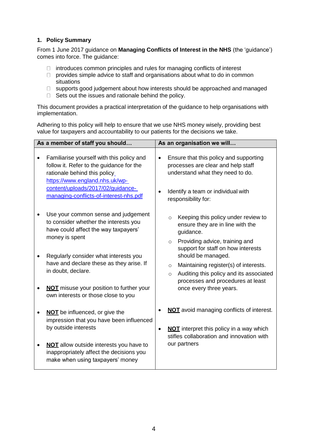# <span id="page-3-0"></span>**1. Policy Summary**

From 1 June 2017 guidance on **Managing Conflicts of Interest in the NHS** (the 'guidance') comes into force. The guidance:

- $\Box$  introduces common principles and rules for managing conflicts of interest
- $\Box$  provides simple advice to staff and organisations about what to do in common situations
- $\Box$  supports good judgement about how interests should be approached and managed
- $\Box$  Sets out the issues and rationale behind the policy.

This document provides a practical interpretation of the guidance to help organisations with implementation.

Adhering to this policy will help to ensure that we use NHS money wisely, providing best value for taxpayers and accountability to our patients for the decisions we take.

| As a member of staff you should                                                                                                                                                                                                         | As an organisation we will                                                                                                                                                                              |  |  |
|-----------------------------------------------------------------------------------------------------------------------------------------------------------------------------------------------------------------------------------------|---------------------------------------------------------------------------------------------------------------------------------------------------------------------------------------------------------|--|--|
| Familiarise yourself with this policy and<br>follow it. Refer to the guidance for the<br>rationale behind this policy_<br>https://www.england.nhs.uk/wp-<br>content/uploads/2017/02/guidance-<br>managing-conflicts-of-interest-nhs.pdf | Ensure that this policy and supporting<br>$\bullet$<br>processes are clear and help staff<br>understand what they need to do.<br>Identify a team or individual with<br>$\bullet$<br>responsibility for: |  |  |
| Use your common sense and judgement<br>to consider whether the interests you<br>have could affect the way taxpayers'<br>money is spent                                                                                                  | Keeping this policy under review to<br>$\circ$<br>ensure they are in line with the<br>guidance.<br>Providing advice, training and<br>$\circ$<br>support for staff on how interests                      |  |  |
| Regularly consider what interests you<br>have and declare these as they arise. If<br>in doubt, declare.                                                                                                                                 | should be managed.<br>Maintaining register(s) of interests.<br>$\circ$<br>Auditing this policy and its associated<br>$\circ$<br>processes and procedures at least                                       |  |  |
| <b>NOT</b> misuse your position to further your<br>own interests or those close to you                                                                                                                                                  | once every three years.                                                                                                                                                                                 |  |  |
| <b>NOT</b> be influenced, or give the<br>impression that you have been influenced<br>by outside interests                                                                                                                               | <b>NOT</b> avoid managing conflicts of interest.<br><b>NOT</b> interpret this policy in a way which<br>$\bullet$<br>stifles collaboration and innovation with                                           |  |  |
| <b>NOT</b> allow outside interests you have to<br>inappropriately affect the decisions you<br>make when using taxpayers' money                                                                                                          | our partners                                                                                                                                                                                            |  |  |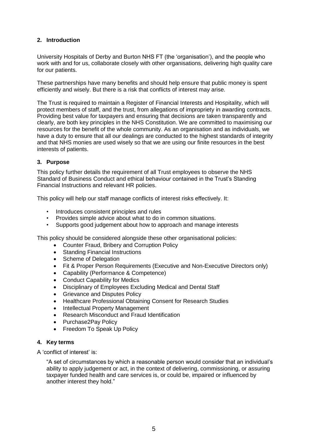# <span id="page-4-0"></span>**2. Introduction**

University Hospitals of Derby and Burton NHS FT (the 'organisation'), and the people who work with and for us, collaborate closely with other organisations, delivering high quality care for our patients.

These partnerships have many benefits and should help ensure that public money is spent efficiently and wisely. But there is a risk that conflicts of interest may arise.

The Trust is required to maintain a Register of Financial Interests and Hospitality, which will protect members of staff, and the trust, from allegations of impropriety in awarding contracts. Providing best value for taxpayers and ensuring that decisions are taken transparently and clearly, are both key principles in the NHS Constitution. We are committed to maximising our resources for the benefit of the whole community. As an organisation and as individuals, we have a duty to ensure that all our dealings are conducted to the highest standards of integrity and that NHS monies are used wisely so that we are using our finite resources in the best interests of patients.

# <span id="page-4-1"></span>**3. Purpose**

This policy further details the requirement of all Trust employees to observe the NHS Standard of Business Conduct and ethical behaviour contained in the Trust's Standing Financial Instructions and relevant HR policies.

This policy will help our staff manage conflicts of interest risks effectively. It:

- Introduces consistent principles and rules
- Provides simple advice about what to do in common situations.
- Supports good judgement about how to approach and manage interests

This policy should be considered alongside these other organisational policies:

- Counter Fraud, Bribery and Corruption Policy
- Standing Financial Instructions
- Scheme of Delegation
- Fit & Proper Person Requirements (Executive and Non-Executive Directors only)
- Capability (Performance & Competence)
- Conduct Capability for Medics
- Disciplinary of Employees Excluding Medical and Dental Staff
- Grievance and Disputes Policy
- Healthcare Professional Obtaining Consent for Research Studies
- Intellectual Property Management
- Research Misconduct and Fraud Identification
- Purchase2Pav Policy
- Freedom To Speak Up Policy

# <span id="page-4-2"></span>**4. Key terms**

A 'conflict of interest' is:

"A set of circumstances by which a reasonable person would consider that an individual's ability to apply judgement or act, in the context of delivering, commissioning, or assuring taxpayer funded health and care services is, or could be, impaired or influenced by another interest they hold."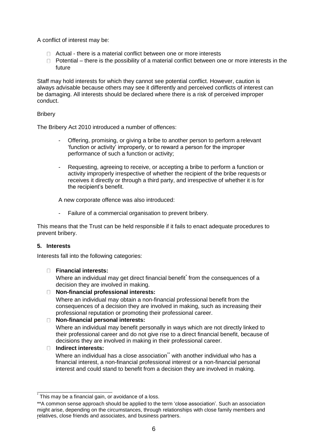A conflict of interest may be:

- $\Box$  Actual there is a material conflict between one or more interests
- $\Box$  Potential there is the possibility of a material conflict between one or more interests in the future

Staff may hold interests for which they cannot see potential conflict. However, caution is always advisable because others may see it differently and perceived conflicts of interest can be damaging. All interests should be declared where there is a risk of perceived improper conduct.

# **Briberv**

The Bribery Act 2010 introduced a number of offences:

- Offering, promising, or giving a bribe to another person to perform a relevant 'function or activity' improperly, or to reward a person for the improper performance of such a function or activity;
- Requesting, agreeing to receive, or accepting a bribe to perform a function or activity improperly irrespective of whether the recipient of the bribe requests or receives it directly or through a third party, and irrespective of whether it is for the recipient's benefit.

A new corporate offence was also introduced:

- Failure of a commercial organisation to prevent bribery.

This means that the Trust can be held responsible if it fails to enact adequate procedures to prevent bribery.

# <span id="page-5-0"></span>**5. Interests**

Interests fall into the following categories:

# **Financial interests:**

Where an individual may get direct financial benefit<sup>\*</sup> from the consequences of a decision they are involved in making.

# **Non-financial professional interests:**

Where an individual may obtain a non-financial professional benefit from the consequences of a decision they are involved in making, such as increasing their professional reputation or promoting their professional career.

# **Non-financial personal interests:**

Where an individual may benefit personally in ways which are not directly linked to their professional career and do not give rise to a direct financial benefit, because of decisions they are involved in making in their professional career.

# **Indirect interests:**

Where an individual has a close association\*\* with another individual who has a financial interest, a non-financial professional interest or a non-financial personal interest and could stand to benefit from a decision they are involved in making.

<sup>\*</sup> This may be a financial gain, or avoidance of a loss.

<sup>\*\*</sup>A common sense approach should be applied to the term 'close association'. Such an association might arise, depending on the circumstances, through relationships with close family members and relatives, close friends and associates, and business partners.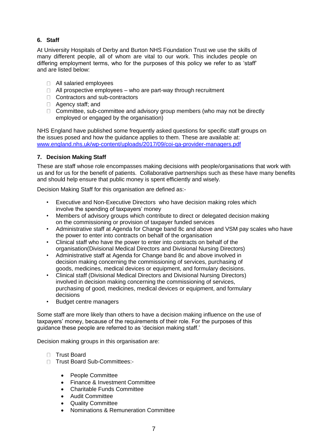# <span id="page-6-0"></span>**6. Staff**

At University Hospitals of Derby and Burton NHS Foundation Trust we use the skills of many different people, all of whom are vital to our work. This includes people on differing employment terms, who for the purposes of this policy we refer to as 'staff' and are listed below:

- □ All salaried employees
- $\Box$  All prospective employees who are part-way through recruitment
- □ Contractors and sub-contractors
- □ Agency staff; and
- $\Box$  Committee, sub-committee and advisory group members (who may not be directly employed or engaged by the organisation)

NHS England have published some frequently asked questions for specific staff groups on the issues posed and how the guidance applies to them. These are available at: [www.england.nhs.uk/wp-content/uploads/2017/09/coi-qa-provider-managers.pdf](http://www.england.nhs.uk/wp-content/uploads/2017/09/coi-qa-provider-managers.pdf)

# <span id="page-6-1"></span>**7. Decision Making Staff**

These are staff whose role encompasses making decisions with people/organisations that work with us and for us for the benefit of patients. Collaborative partnerships such as these have many benefits and should help ensure that public money is spent efficiently and wisely.

Decision Making Staff for this organisation are defined as:-

- Executive and Non-Executive Directors who have decision making roles which involve the spending of taxpayers' money
- Members of advisory groups which contribute to direct or delegated decision making on the commissioning or provision of taxpayer funded services
- Administrative staff at Agenda for Change band 8c and above and VSM pay scales who have the power to enter into contracts on behalf of the organisation
- Clinical staff who have the power to enter into contracts on behalf of the organisation(Divisional Medical Directors and Divisional Nursing Directors)
- Administrative staff at Agenda for Change band 8c and above involved in decision making concerning the commissioning of services, purchasing of goods, medicines, medical devices or equipment, and formulary decisions.
- Clinical staff (Divisional Medical Directors and Divisional Nursing Directors) involved in decision making concerning the commissioning of services, purchasing of good, medicines, medical devices or equipment, and formulary decisions
- Budget centre managers

Some staff are more likely than others to have a decision making influence on the use of taxpayers' money, because of the requirements of their role. For the purposes of this guidance these people are referred to as 'decision making staff.'

Decision making groups in this organisation are:

- □ Trust Board
- □ Trust Board Sub-Committees:-
	- People Committee
	- Finance & Investment Committee
	- Charitable Funds Committee
	- Audit Committee
	- Quality Committee
	- Nominations & Remuneration Committee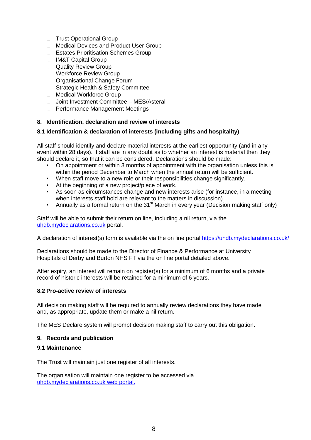- □ Trust Operational Group
- □ Medical Devices and Product User Group
- □ Estates Prioritisation Schemes Group
- □ IM&T Capital Group
- **Quality Review Group**
- Workforce Review Group
- D Organisational Change Forum
- □ Strategic Health & Safety Committee
- □ Medical Workforce Group
- □ Joint Investment Committee MES/Asteral
- □ Performance Management Meetings

# <span id="page-7-0"></span>**8. Identification, declaration and review of interests**

# <span id="page-7-1"></span>**8.1 Identification & declaration of interests (including gifts and hospitality)**

All staff should identify and declare material interests at the earliest opportunity (and in any event within 28 days). If staff are in any doubt as to whether an interest is material then they should declare it, so that it can be considered. Declarations should be made:

- On appointment or within 3 months of appointment with the organisation unless this is within the period December to March when the annual return will be sufficient.
- When staff move to a new role or their responsibilities change significantly.
- At the beginning of a new project/piece of work.
- As soon as circumstances change and new interests arise (for instance, in a meeting when interests staff hold are relevant to the matters in discussion).
- Annually as a formal return on the 31<sup>st</sup> March in every year (Decision making staff only)

Staff will be able to submit their return on line, including a nil return, via the [uhdb.mydeclarations.co.uk](https://uhdb.mydeclarations.co.uk/) portal.

A declaration of interest(s) form is available via the on line portal<https://uhdb.mydeclarations.co.uk/>

Declarations should be made to the Director of Finance & Performance at University Hospitals of Derby and Burton NHS FT via the on line portal detailed above.

After expiry, an interest will remain on register(s) for a minimum of 6 months and a private record of historic interests will be retained for a minimum of 6 years.

# <span id="page-7-2"></span>**8.2 Pro-active review of interests**

All decision making staff will be required to annually review declarations they have made and, as appropriate, update them or make a nil return.

The MES Declare system will prompt decision making staff to carry out this obligation.

# <span id="page-7-3"></span>**9. Records and publication**

# <span id="page-7-4"></span>**9.1 Maintenance**

The Trust will maintain just one register of all interests.

The organisation will maintain one register to be accessed via [uhdb.mydeclarations.co.uk web portal.](https://uhdb.mydeclarations.co.uk/)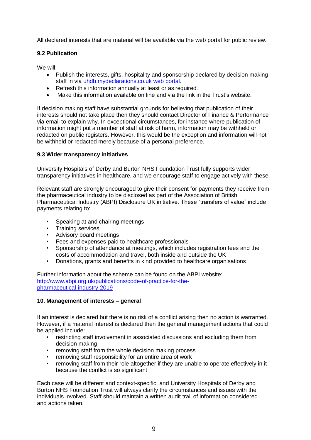All declared interests that are material will be available via the web portal for public review.

# <span id="page-8-0"></span>**9.2 Publication**

We will:

- Publish the interests, gifts, hospitality and sponsorship declared by decision making staff in via [uhdb.mydeclarations.co.uk web portal.](https://uhdb.mydeclarations.co.uk/)
- Refresh this information annually at least or as required.
- Make this information available on line and via the link in the Trust's website.

If decision making staff have substantial grounds for believing that publication of their interests should not take place then they should contact Director of Finance & Performance via email to explain why. In exceptional circumstances, for instance where publication of information might put a member of staff at risk of harm, information may be withheld or redacted on public registers. However, this would be the exception and information will not be withheld or redacted merely because of a personal preference.

# <span id="page-8-1"></span>**9.3 Wider transparency initiatives**

University Hospitals of Derby and Burton NHS Foundation Trust fully supports wider transparency initiatives in healthcare, and we encourage staff to engage actively with these.

Relevant staff are strongly encouraged to give their consent for payments they receive from the pharmaceutical industry to be disclosed as part of the Association of British Pharmaceutical Industry (ABPI) Disclosure UK initiative. These "transfers of value" include payments relating to:

- Speaking at and chairing meetings
- Training services
- Advisory board meetings
- Fees and expenses paid to healthcare professionals
- Sponsorship of attendance at meetings, which includes registration fees and the costs of accommodation and travel, both inside and outside the UK
- Donations, grants and benefits in kind provided to healthcare organisations

Further information about the scheme can be found on the ABPI website: [http://www.abpi.org.uk/publications/code-of-practice-for-the](http://www.abpi.org.uk/publications/code-of-practice-for-the-pharmaceutical-industry-2019)[pharmaceutical-industry-2019](http://www.abpi.org.uk/publications/code-of-practice-for-the-pharmaceutical-industry-2019)

# <span id="page-8-2"></span>**10. Management of interests – general**

If an interest is declared but there is no risk of a conflict arising then no action is warranted. However, if a material interest is declared then the general management actions that could be applied include:

- restricting staff involvement in associated discussions and excluding them from decision making
- removing staff from the whole decision making process
- removing staff responsibility for an entire area of work
- removing staff from their role altogether if they are unable to operate effectively in it because the conflict is so significant

Each case will be different and context-specific, and University Hospitals of Derby and Burton NHS Foundation Trust will always clarify the circumstances and issues with the individuals involved. Staff should maintain a written audit trail of information considered and actions taken.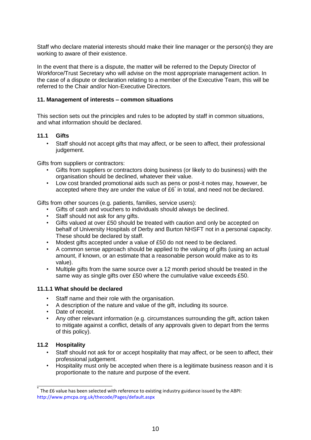Staff who declare material interests should make their line manager or the person(s) they are working to aware of their existence.

In the event that there is a dispute, the matter will be referred to the Deputy Director of Workforce/Trust Secretary who will advise on the most appropriate management action. In the case of a dispute or declaration relating to a member of the Executive Team, this will be referred to the Chair and/or Non-Executive Directors.

# <span id="page-9-0"></span>**11. Management of interests – common situations**

This section sets out the principles and rules to be adopted by staff in common situations, and what information should be declared.

# <span id="page-9-1"></span>**11.1 Gifts**

• Staff should not accept gifts that may affect, or be seen to affect, their professional judgement.

Gifts from suppliers or contractors:

- Gifts from suppliers or contractors doing business (or likely to do business) with the organisation should be declined, whatever their value.
- Low cost branded promotional aids such as pens or post-it notes may, however, be accepted where they are under the value of  $E6^*$  in total, and need not be declared.

Gifts from other sources (e.g. patients, families, service users):

- Gifts of cash and vouchers to individuals should always be declined.
- Staff should not ask for any gifts.
- Gifts valued at over £50 should be treated with caution and only be accepted on behalf of University Hospitals of Derby and Burton NHSFT not in a personal capacity. These should be declared by staff.
- Modest gifts accepted under a value of £50 do not need to be declared.
- A common sense approach should be applied to the valuing of gifts (using an actual amount, if known, or an estimate that a reasonable person would make as to its value).
- Multiple gifts from the same source over a 12 month period should be treated in the same way as single gifts over £50 where the cumulative value exceeds £50.

# <span id="page-9-2"></span>**11.1.1 What should be declared**

- Staff name and their role with the organisation.
- A description of the nature and value of the gift, including its source.
- Date of receipt.
- Any other relevant information (e.g. circumstances surrounding the gift, action taken to mitigate against a conflict, details of any approvals given to depart from the terms of this policy).

# <span id="page-9-3"></span>**11.2 Hospitality**

- Staff should not ask for or accept hospitality that may affect, or be seen to affect, their professional judgement.
- Hospitality must only be accepted when there is a legitimate business reason and it is proportionate to the nature and purpose of the event.

<sup>\*</sup> The £6 value has been selected with reference to existing industry guidance issued by the ABPI[:](http://www.pmcpa.org.uk/thecode/Pages/default.aspx) <http://www.pmcpa.org.uk/thecode/Pages/default.aspx>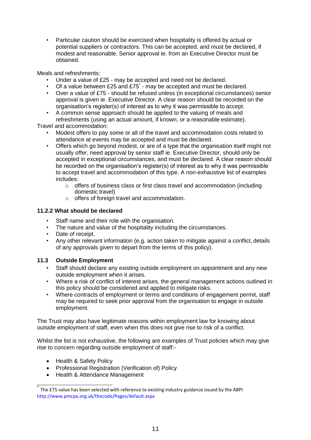• Particular caution should be exercised when hospitality is offered by actual or potential suppliers or contractors. This can be accepted, and must be declared, if modest and reasonable. Senior approval ie. from an Executive Director must be obtained.

Meals and refreshments:

- Under a value of £25 may be accepted and need not be declared.
- Of a value between £25 and  $£75^{\degree}$  may be accepted and must be declared.
- Over a value of £75 should be refused unless (in exceptional circumstances) senior approval is given ie. Executive Director. A clear reason should be recorded on the organisation's register(s) of interest as to why it was permissible to accept.
- A common sense approach should be applied to the valuing of meals and refreshments (using an actual amount, if known, or a reasonable estimate).

Travel and accommodation:

- Modest offers to pay some or all of the travel and accommodation costs related to attendance at events may be accepted and must be declared.
- Offers which go beyond modest, or are of a type that the organisation itself might not usually offer, need approval by senior staff ie. Executive Director, should only be accepted in exceptional circumstances, and must be declared. A clear reason should be recorded on the organisation's register(s) of interest as to why it was permissible to accept travel and accommodation of this type. A non-exhaustive list of examples includes:
	- $\circ$  offers of business class or first class travel and accommodation (including domestic travel)
	- o offers of foreign travel and accommodation.

# <span id="page-10-0"></span>**11.2.2 What should be declared**

- Staff name and their role with the organisation.
- The nature and value of the hospitality including the circumstances.
- Date of receipt.
- Any other relevant information (e.g. action taken to mitigate against a conflict, details of any approvals given to depart from the terms of this policy).

# <span id="page-10-1"></span>**11.3 Outside Employment**

- Staff should declare any existing outside employment on appointment and any new outside employment when it arises.
- Where a risk of conflict of interest arises, the general management actions outlined in this policy should be considered and applied to mitigate risks.
- Where contracts of employment or terms and conditions of engagement permit, staff may be required to seek prior approval from the organisation to engage in outside employment.

The Trust may also have legitimate reasons within employment law for knowing about outside employment of staff, even when this does not give rise to risk of a conflict.

Whilst the list is not exhaustive, the following are examples of Trust policies which may give rise to concern regarding outside employment of staff:-

- Health & Safety Policy
- Professional Registration (Verification of) Policy
- Health & Attendance Management

<sup>\*</sup> The £75 value has been selected with reference to existing industry guidance issued by the ABP[I](http://www.pmcpa.org.uk/thecode/Pages/default.aspx) <http://www.pmcpa.org.uk/thecode/Pages/default.aspx>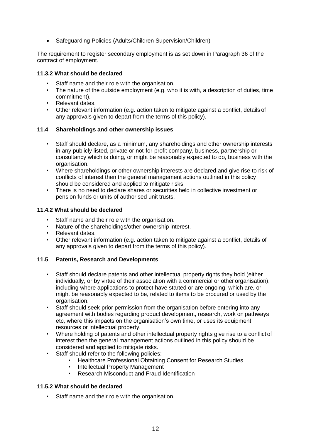Safeguarding Policies (Adults/Children Supervision/Children)

The requirement to register secondary employment is as set down in Paragraph 36 of the contract of employment.

# <span id="page-11-0"></span>**11.3.2 What should be declared**

- Staff name and their role with the organisation.
- The nature of the outside employment (e.g. who it is with, a description of duties, time commitment).
- Relevant dates.
- Other relevant information (e.g. action taken to mitigate against a conflict, details of any approvals given to depart from the terms of this policy).

#### <span id="page-11-1"></span>**11.4 Shareholdings and other ownership issues**

- Staff should declare, as a minimum, any shareholdings and other ownership interests in any publicly listed, private or not-for-profit company, business, partnership or consultancy which is doing, or might be reasonably expected to do, business with the organisation.
- Where shareholdings or other ownership interests are declared and give rise to risk of conflicts of interest then the general management actions outlined in this policy should be considered and applied to mitigate risks.
- There is no need to declare shares or securities held in collective investment or pension funds or units of authorised unit trusts.

#### <span id="page-11-2"></span>**11.4.2 What should be declared**

- Staff name and their role with the organisation.
- Nature of the shareholdings/other ownership interest.
- Relevant dates.
- Other relevant information (e.g. action taken to mitigate against a conflict, details of any approvals given to depart from the terms of this policy).

#### <span id="page-11-3"></span>**11.5 Patents, Research and Developments**

- Staff should declare patents and other intellectual property rights they hold (either individually, or by virtue of their association with a commercial or other organisation), including where applications to protect have started or are ongoing, which are, or might be reasonably expected to be, related to items to be procured or used by the organisation.
- Staff should seek prior permission from the organisation before entering into any agreement with bodies regarding product development, research, work on pathways etc, where this impacts on the organisation's own time, or uses its equipment, resources or intellectual property.
- Where holding of patents and other intellectual property rights give rise to a conflict of interest then the general management actions outlined in this policy should be considered and applied to mitigate risks.
- Staff should refer to the following policies:-
	- Healthcare Professional Obtaining Consent for Research Studies
	- Intellectual Property Management
	- Research Misconduct and Fraud Identification

# <span id="page-11-4"></span>**11.5.2 What should be declared**

• Staff name and their role with the organisation.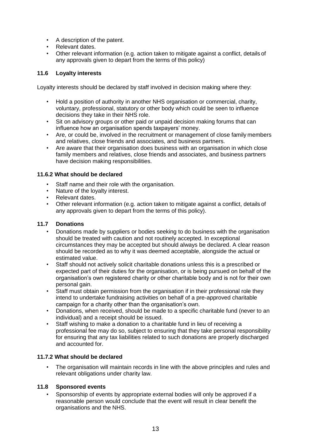- A description of the patent.
- Relevant dates.
- Other relevant information (e.g. action taken to mitigate against a conflict, details of any approvals given to depart from the terms of this policy)

# <span id="page-12-0"></span>**11.6 Loyalty interests**

Loyalty interests should be declared by staff involved in decision making where they:

- Hold a position of authority in another NHS organisation or commercial, charity, voluntary, professional, statutory or other body which could be seen to influence decisions they take in their NHS role.
- Sit on advisory groups or other paid or unpaid decision making forums that can influence how an organisation spends taxpayers' money.
- Are, or could be, involved in the recruitment or management of close family members and relatives, close friends and associates, and business partners.
- Are aware that their organisation does business with an organisation in which close family members and relatives, close friends and associates, and business partners have decision making responsibilities.

# <span id="page-12-1"></span>**11.6.2 What should be declared**

- Staff name and their role with the organisation.
- Nature of the loyalty interest.
- Relevant dates.
- Other relevant information (e.g. action taken to mitigate against a conflict, details of any approvals given to depart from the terms of this policy).

# <span id="page-12-2"></span>**11.7 Donations**

- Donations made by suppliers or bodies seeking to do business with the organisation should be treated with caution and not routinely accepted. In exceptional circumstances they may be accepted but should always be declared. A clear reason should be recorded as to why it was deemed acceptable, alongside the actual or estimated value.
- Staff should not actively solicit charitable donations unless this is a prescribed or expected part of their duties for the organisation, or is being pursued on behalf of the organisation's own registered charity or other charitable body and is not for their own personal gain.
- Staff must obtain permission from the organisation if in their professional role they intend to undertake fundraising activities on behalf of a pre-approved charitable campaign for a charity other than the organisation's own.
- Donations, when received, should be made to a specific charitable fund (never to an individual) and a receipt should be issued.
- Staff wishing to make a donation to a charitable fund in lieu of receiving a professional fee may do so, subject to ensuring that they take personal responsibility for ensuring that any tax liabilities related to such donations are properly discharged and accounted for.

# <span id="page-12-3"></span>**11.7.2 What should be declared**

• The organisation will maintain records in line with the above principles and rules and relevant obligations under charity law.

# <span id="page-12-4"></span>**11.8 Sponsored events**

• Sponsorship of events by appropriate external bodies will only be approved if a reasonable person would conclude that the event will result in clear benefit the organisations and the NHS.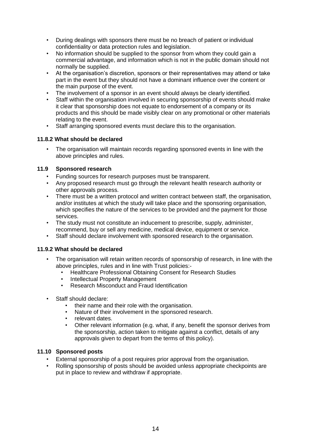- During dealings with sponsors there must be no breach of patient or individual confidentiality or data protection rules and legislation.
- No information should be supplied to the sponsor from whom they could gain a commercial advantage, and information which is not in the public domain should not normally be supplied.
- At the organisation's discretion, sponsors or their representatives may attend or take part in the event but they should not have a dominant influence over the content or the main purpose of the event.
- The involvement of a sponsor in an event should always be clearly identified.
- Staff within the organisation involved in securing sponsorship of events should make it clear that sponsorship does not equate to endorsement of a company or its products and this should be made visibly clear on any promotional or other materials relating to the event.
- Staff arranging sponsored events must declare this to the organisation.

# <span id="page-13-0"></span>**11.8.2 What should be declared**

• The organisation will maintain records regarding sponsored events in line with the above principles and rules.

# <span id="page-13-1"></span>**11.9 Sponsored research**

- Funding sources for research purposes must be transparent.
- Any proposed research must go through the relevant health research authority or other approvals process.
- There must be a written protocol and written contract between staff, the organisation, and/or institutes at which the study will take place and the sponsoring organisation, which specifies the nature of the services to be provided and the payment for those services.
- The study must not constitute an inducement to prescribe, supply, administer, recommend, buy or sell any medicine, medical device, equipment or service.
- Staff should declare involvement with sponsored research to the organisation.

# <span id="page-13-2"></span>**11.9.2 What should be declared**

- The organisation will retain written records of sponsorship of research, in line with the above principles, rules and in line with Trust policies:-
	- Healthcare Professional Obtaining Consent for Research Studies
	- Intellectual Property Management
	- Research Misconduct and Fraud Identification
- Staff should declare:
	- their name and their role with the organisation.
	- Nature of their involvement in the sponsored research.
	- relevant dates.
	- Other relevant information (e.g. what, if any, benefit the sponsor derives from the sponsorship, action taken to mitigate against a conflict, details of any approvals given to depart from the terms of this policy).

# <span id="page-13-3"></span>**11.10 Sponsored posts**

- External sponsorship of a post requires prior approval from the organisation.
- Rolling sponsorship of posts should be avoided unless appropriate checkpoints are put in place to review and withdraw if appropriate.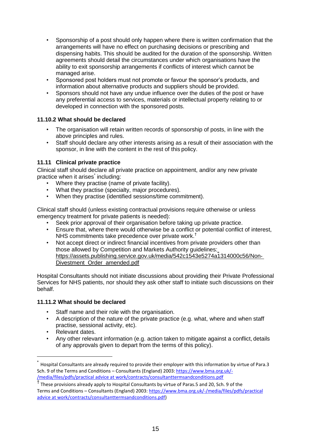- Sponsorship of a post should only happen where there is written confirmation that the arrangements will have no effect on purchasing decisions or prescribing and dispensing habits. This should be audited for the duration of the sponsorship. Written agreements should detail the circumstances under which organisations have the ability to exit sponsorship arrangements if conflicts of interest which cannot be managed arise.
- Sponsored post holders must not promote or favour the sponsor's products, and information about alternative products and suppliers should be provided.
- Sponsors should not have any undue influence over the duties of the post or have any preferential access to services, materials or intellectual property relating to or developed in connection with the sponsored posts.

# <span id="page-14-0"></span>**11.10.2 What should be declared**

- The organisation will retain written records of sponsorship of posts, in line with the above principles and rules.
- Staff should declare any other interests arising as a result of their association with the sponsor, in line with the content in the rest of this policy.

# <span id="page-14-1"></span>**11.11 Clinical private practice**

Clinical staff should declare all private practice on appointment, and/or any new private practice when it arises<sup>\*</sup> including:

- Where they practise (name of private facility).
- What they practise (specialty, major procedures).
- When they practise (identified sessions/time commitment).

Clinical staff should (unless existing contractual provisions require otherwise or unless emergency treatment for private patients is needed):

- Seek prior approval of their organisation before taking up private practice.
- Ensure that, where there would otherwise be a conflict or potential conflict of interest, NHS commitments take precedence over private work.†
- Not accept direct or indirect financial incentives from private providers other than those allowed by Competition and Markets Authority guidelines: [https://assets.publishing.service.gov.uk/media/542c1543e5274a1314000c56/Non-](https://assets.publishing.service.gov.uk/media/542c1543e5274a1314000c56/Non-Divestment_Order_amended.pdf)[Divestment\\_Order\\_amended.pdf](https://assets.publishing.service.gov.uk/media/542c1543e5274a1314000c56/Non-Divestment_Order_amended.pdf)

Hospital Consultants should not initiate discussions about providing their Private Professional Services for NHS patients, nor should they ask other staff to initiate such discussions on their behalf.

# <span id="page-14-2"></span>**11.11.2 What should be declared**

- Staff name and their role with the organisation.
- A description of the nature of the private practice (e.g. what, where and when staff practise, sessional activity, etc).
- Relevant dates.
- Any other relevant information (e.g. action taken to mitigate against a conflict, details of any approvals given to depart from the terms of this policy).

<sup>\*</sup> Hospital Consultants are already required to provide their employer with this information by virtue of Para.3 Sch. 9 of the Terms and Conditions – Consultants (England) 2003: [https://www.bma.org.uk/-](https://www.bma.org.uk/-/media/files/pdfs/practical%20advice%20at%20work/contracts/consultanttermsandconditions.pdf) [/media/files/pdfs/practical advice at work/contracts/consultanttermsandconditions.pdf](https://www.bma.org.uk/-/media/files/pdfs/practical%20advice%20at%20work/contracts/consultanttermsandconditions.pdf)

<sup>†</sup> These provisions already apply to Hospital Consultants by virtue of Paras.5 and 20, Sch. 9 of the Terms and Conditions – Consultants (England) 2003: [https://www.bma.org.uk/-/media/files/pdfs/practical](https://www.bma.org.uk/-/media/files/pdfs/practical%20advice%20at%20work/contracts/consultanttermsandconditions.pdf) [advice at work/contracts/consultanttermsandconditions.pdf\)](https://www.bma.org.uk/-/media/files/pdfs/practical%20advice%20at%20work/contracts/consultanttermsandconditions.pdf)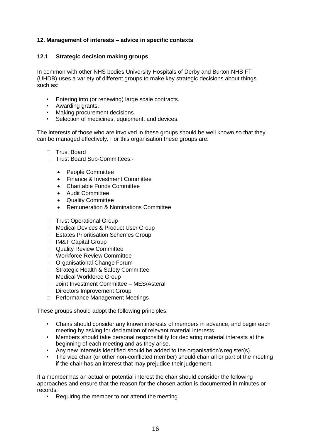# <span id="page-15-0"></span>**12. Management of interests – advice in specific contexts**

# <span id="page-15-1"></span>**12.1 Strategic decision making groups**

In common with other NHS bodies University Hospitals of Derby and Burton NHS FT (UHDB) uses a variety of different groups to make key strategic decisions about things such as:

- Entering into (or renewing) large scale contracts.
- Awarding grants.
- Making procurement decisions.
- Selection of medicines, equipment, and devices.

The interests of those who are involved in these groups should be well known so that they can be managed effectively. For this organisation these groups are:

- **Trust Board**
- □ Trust Board Sub-Committees:-
	- People Committee
	- Finance & Investment Committee
	- Charitable Funds Committee
	- Audit Committee
	- Quality Committee
	- Remuneration & Nominations Committee
- □ Trust Operational Group
- □ Medical Devices & Product User Group
- □ Estates Prioritisation Schemes Group
- □ IM&T Capital Group
- **Quality Review Committee**
- Workforce Review Committee
- □ Organisational Change Forum
- □ Strategic Health & Safety Committee
- □ Medical Workforce Group
- □ Joint Investment Committee MES/Asteral
- Directors Improvement Group
- **Performance Management Meetings**

These groups should adopt the following principles:

- Chairs should consider any known interests of members in advance, and begin each meeting by asking for declaration of relevant material interests.
- Members should take personal responsibility for declaring material interests at the beginning of each meeting and as they arise.
- Any new interests identified should be added to the organisation's register(s).
- The vice chair (or other non-conflicted member) should chair all or part of the meeting if the chair has an interest that may prejudice their judgement.

If a member has an actual or potential interest the chair should consider the following approaches and ensure that the reason for the chosen action is documented in minutes or records:

• Requiring the member to not attend the meeting.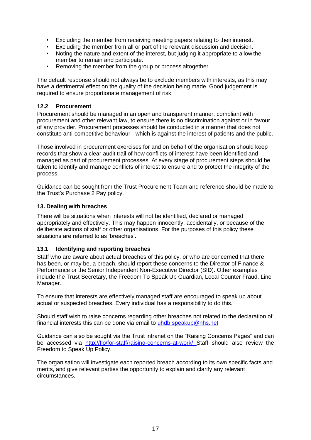- Excluding the member from receiving meeting papers relating to their interest.
- Excluding the member from all or part of the relevant discussion and decision.
- Noting the nature and extent of the interest, but judging it appropriate to allow the member to remain and participate.
- Removing the member from the group or process altogether.

The default response should not always be to exclude members with interests, as this may have a detrimental effect on the quality of the decision being made. Good judgement is required to ensure proportionate management of risk.

# <span id="page-16-0"></span>**12.2 Procurement**

Procurement should be managed in an open and transparent manner, compliant with procurement and other relevant law, to ensure there is no discrimination against or in favour of any provider. Procurement processes should be conducted in a manner that does not constitute anti-competitive behaviour - which is against the interest of patients and the public.

Those involved in procurement exercises for and on behalf of the organisation should keep records that show a clear audit trail of how conflicts of interest have been identified and managed as part of procurement processes. At every stage of procurement steps should be taken to identify and manage conflicts of interest to ensure and to protect the integrity of the process.

Guidance can be sought from the Trust Procurement Team and reference should be made to the Trust's Purchase 2 Pay policy.

# <span id="page-16-1"></span>**13. Dealing with breaches**

There will be situations when interests will not be identified, declared or managed appropriately and effectively. This may happen innocently, accidentally, or because of the deliberate actions of staff or other organisations. For the purposes of this policy these situations are referred to as 'breaches'.

# <span id="page-16-2"></span>**13.1 Identifying and reporting breaches**

Staff who are aware about actual breaches of this policy, or who are concerned that there has been, or may be, a breach, should report these concerns to the Director of Finance & Performance or the Senior Independent Non-Executive Director (SID). Other examples include the Trust Secretary, the Freedom To Speak Up Guardian, Local Counter Fraud, Line Manager.

To ensure that interests are effectively managed staff are encouraged to speak up about actual or suspected breaches. Every individual has a responsibility to do this.

Should staff wish to raise concerns regarding other breaches not related to the declaration of financial interests this can be done via email to [uhdb.speakup@nhs.net](mailto:uhdb.speakup@nhs.net)

Guidance can also be sought via the Trust intranet on the "Raising Concerns Pages" and can be accessed via <http://flo/for-staff/raising-concerns-at-work/> Staff should also review the Freedom to Speak Up Policy.

The organisation will investigate each reported breach according to its own specific facts and merits, and give relevant parties the opportunity to explain and clarify any relevant circumstances.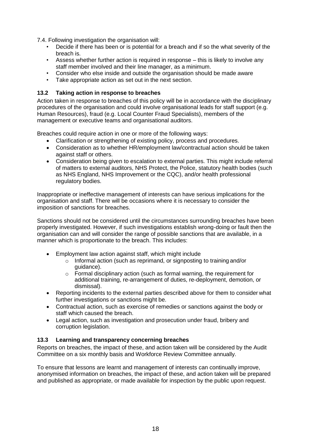7.4. Following investigation the organisation will:

- Decide if there has been or is potential for a breach and if so the what severity of the breach is.
- Assess whether further action is required in response this is likely to involve any staff member involved and their line manager, as a minimum.
- Consider who else inside and outside the organisation should be made aware
- Take appropriate action as set out in the next section.

# <span id="page-17-0"></span>**13.2 Taking action in response to breaches**

Action taken in response to breaches of this policy will be in accordance with the disciplinary procedures of the organisation and could involve organisational leads for staff support (e.g. Human Resources), fraud (e.g. Local Counter Fraud Specialists), members of the management or executive teams and organisational auditors.

Breaches could require action in one or more of the following ways:

- Clarification or strengthening of existing policy, process and procedures.
- Consideration as to whether HR/employment law/contractual action should be taken against staff or others.
- Consideration being given to escalation to external parties. This might include referral of matters to external auditors, NHS Protect, the Police, statutory health bodies (such as NHS England, NHS Improvement or the CQC), and/or health professional regulatory bodies.

Inappropriate or ineffective management of interests can have serious implications for the organisation and staff. There will be occasions where it is necessary to consider the imposition of sanctions for breaches.

Sanctions should not be considered until the circumstances surrounding breaches have been properly investigated. However, if such investigations establish wrong-doing or fault then the organisation can and will consider the range of possible sanctions that are available, in a manner which is proportionate to the breach. This includes:

- Employment law action against staff, which might include
	- o Informal action (such as reprimand, or signposting to training and/or guidance).
	- o Formal disciplinary action (such as formal warning, the requirement for additional training, re-arrangement of duties, re-deployment, demotion, or dismissal).
- Reporting incidents to the external parties described above for them to consider what further investigations or sanctions might be.
- Contractual action, such as exercise of remedies or sanctions against the body or staff which caused the breach.
- Legal action, such as investigation and prosecution under fraud, bribery and corruption legislation.

# <span id="page-17-1"></span>**13.3 Learning and transparency concerning breaches**

Reports on breaches, the impact of these, and action taken will be considered by the Audit Committee on a six monthly basis and Workforce Review Committee annually.

To ensure that lessons are learnt and management of interests can continually improve, anonymised information on breaches, the impact of these, and action taken will be prepared and published as appropriate, or made available for inspection by the public upon request.